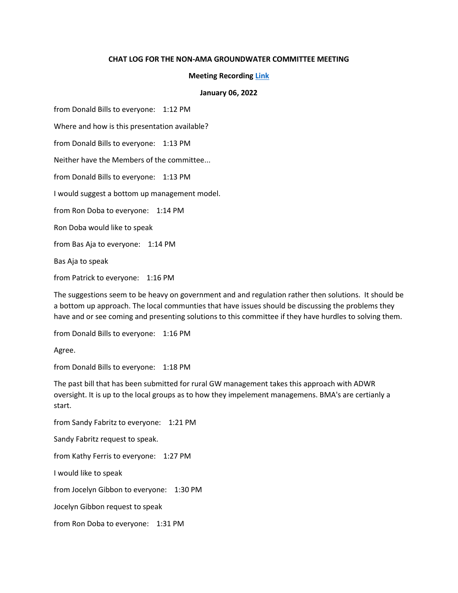## **CHAT LOG FOR THE NON-AMA GROUNDWATER COMMITTEE MEETING**

## **Meeting Recording [Link](https://youtu.be/hKaMcW_RNuY)**

## **January 06, 2022**

from Donald Bills to everyone: 1:12 PM

Where and how is this presentation available?

from Donald Bills to everyone: 1:13 PM

Neither have the Members of the committee...

from Donald Bills to everyone: 1:13 PM

I would suggest a bottom up management model.

from Ron Doba to everyone: 1:14 PM

Ron Doba would like to speak

from Bas Aja to everyone: 1:14 PM

Bas Aja to speak

from Patrick to everyone: 1:16 PM

The suggestions seem to be heavy on government and and regulation rather then solutions. It should be a bottom up approach. The local communties that have issues should be discussing the problems they have and or see coming and presenting solutions to this committee if they have hurdles to solving them.

from Donald Bills to everyone: 1:16 PM

Agree.

from Donald Bills to everyone: 1:18 PM

The past bill that has been submitted for rural GW management takes this approach with ADWR oversight. It is up to the local groups as to how they impelement managemens. BMA's are certianly a start.

from Sandy Fabritz to everyone: 1:21 PM

Sandy Fabritz request to speak.

from Kathy Ferris to everyone: 1:27 PM

I would like to speak

from Jocelyn Gibbon to everyone: 1:30 PM

Jocelyn Gibbon request to speak

from Ron Doba to everyone: 1:31 PM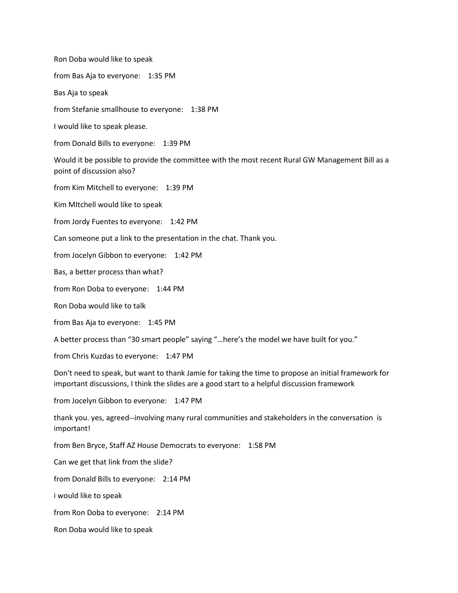Ron Doba would like to speak

from Bas Aja to everyone: 1:35 PM

Bas Aja to speak

from Stefanie smallhouse to everyone: 1:38 PM

I would like to speak please.

from Donald Bills to everyone: 1:39 PM

Would it be possible to provide the committee with the most recent Rural GW Management Bill as a point of discussion also?

from Kim Mitchell to everyone: 1:39 PM

Kim MItchell would like to speak

from Jordy Fuentes to everyone: 1:42 PM

Can someone put a link to the presentation in the chat. Thank you.

from Jocelyn Gibbon to everyone: 1:42 PM

Bas, a better process than what?

from Ron Doba to everyone: 1:44 PM

Ron Doba would like to talk

from Bas Aja to everyone: 1:45 PM

A better process than "30 smart people" saying "…here's the model we have built for you."

from Chris Kuzdas to everyone: 1:47 PM

Don't need to speak, but want to thank Jamie for taking the time to propose an initial framework for important discussions, I think the slides are a good start to a helpful discussion framework

from Jocelyn Gibbon to everyone: 1:47 PM

thank you. yes, agreed--involving many rural communities and stakeholders in the conversation is important!

from Ben Bryce, Staff AZ House Democrats to everyone: 1:58 PM

Can we get that link from the slide?

from Donald Bills to everyone: 2:14 PM

i would like to speak

from Ron Doba to everyone: 2:14 PM

Ron Doba would like to speak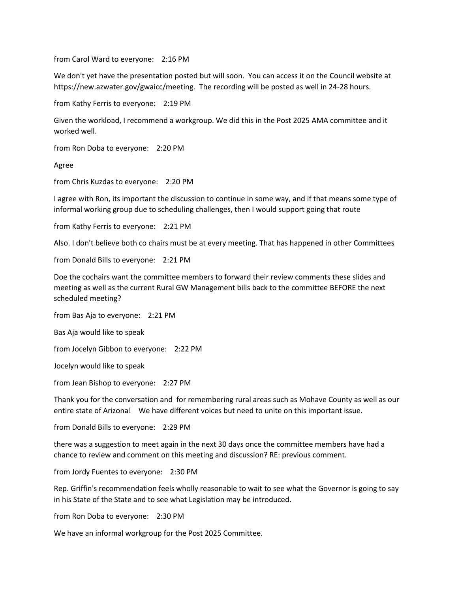from Carol Ward to everyone: 2:16 PM

We don't yet have the presentation posted but will soon. You can access it on the Council website at https://new.azwater.gov/gwaicc/meeting. The recording will be posted as well in 24-28 hours.

from Kathy Ferris to everyone: 2:19 PM

Given the workload, I recommend a workgroup. We did this in the Post 2025 AMA committee and it worked well.

from Ron Doba to everyone: 2:20 PM

Agree

from Chris Kuzdas to everyone: 2:20 PM

I agree with Ron, its important the discussion to continue in some way, and if that means some type of informal working group due to scheduling challenges, then I would support going that route

from Kathy Ferris to everyone: 2:21 PM

Also. I don't believe both co chairs must be at every meeting. That has happened in other Committees

from Donald Bills to everyone: 2:21 PM

Doe the cochairs want the committee members to forward their review comments these slides and meeting as well as the current Rural GW Management bills back to the committee BEFORE the next scheduled meeting?

from Bas Aja to everyone: 2:21 PM

Bas Aja would like to speak

from Jocelyn Gibbon to everyone: 2:22 PM

Jocelyn would like to speak

from Jean Bishop to everyone: 2:27 PM

Thank you for the conversation and for remembering rural areas such as Mohave County as well as our entire state of Arizona! We have different voices but need to unite on this important issue.

from Donald Bills to everyone: 2:29 PM

there was a suggestion to meet again in the next 30 days once the committee members have had a chance to review and comment on this meeting and discussion? RE: previous comment.

from Jordy Fuentes to everyone: 2:30 PM

Rep. Griffin's recommendation feels wholly reasonable to wait to see what the Governor is going to say in his State of the State and to see what Legislation may be introduced.

from Ron Doba to everyone: 2:30 PM

We have an informal workgroup for the Post 2025 Committee.